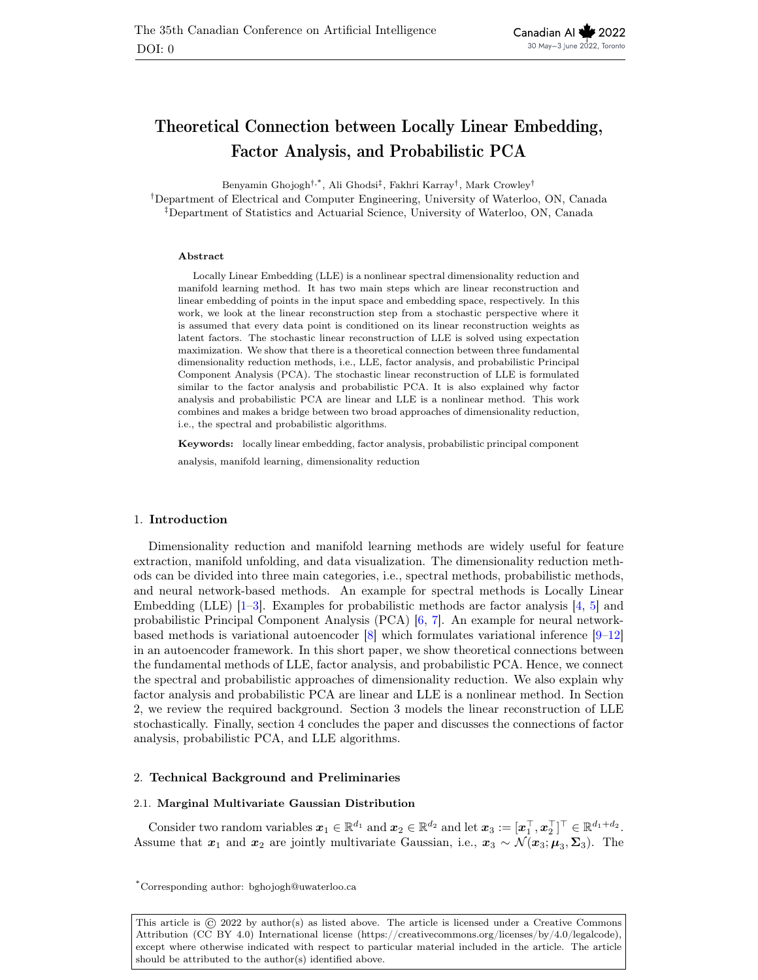# Theoretical Connection between Locally Linear Embedding, Factor Analysis, and Probabilistic PCA

Benyamin Ghojogh†,\*, Ali Ghodsi‡ , Fakhri Karray† , Mark Crowley†

†Department of Electrical and Computer Engineering, University of Waterloo, ON, Canada ‡Department of Statistics and Actuarial Science, University of Waterloo, ON, Canada

## Abstract

Locally Linear Embedding (LLE) is a nonlinear spectral dimensionality reduction and manifold learning method. It has two main steps which are linear reconstruction and linear embedding of points in the input space and embedding space, respectively. In this work, we look at the linear reconstruction step from a stochastic perspective where it is assumed that every data point is conditioned on its linear reconstruction weights as latent factors. The stochastic linear reconstruction of LLE is solved using expectation maximization. We show that there is a theoretical connection between three fundamental dimensionality reduction methods, i.e., LLE, factor analysis, and probabilistic Principal Component Analysis (PCA). The stochastic linear reconstruction of LLE is formulated similar to the factor analysis and probabilistic PCA. It is also explained why factor analysis and probabilistic PCA are linear and LLE is a nonlinear method. This work combines and makes a bridge between two broad approaches of dimensionality reduction, i.e., the spectral and probabilistic algorithms.

Keywords: locally linear embedding, factor analysis, probabilistic principal component analysis, manifold learning, dimensionality reduction

# 1. Introduction

Dimensionality reduction and manifold learning methods are widely useful for feature extraction, manifold unfolding, and data visualization. The dimensionality reduction methods can be divided into three main categories, i.e., spectral methods, probabilistic methods, and neural network-based methods. An example for spectral methods is Locally Linear Embedding (LLE)  $[1-3]$  $[1-3]$ . Examples for probabilistic methods are factor analysis  $[4, 5]$  $[4, 5]$  $[4, 5]$  and probabilistic Principal Component Analysis (PCA) [\[6,](#page-5-4) [7\]](#page-5-5). An example for neural networkbased methods is variational autoencoder  $[8]$  which formulates variational inference  $[9-12]$  $[9-12]$ in an autoencoder framework. In this short paper, we show theoretical connections between the fundamental methods of LLE, factor analysis, and probabilistic PCA. Hence, we connect the spectral and probabilistic approaches of dimensionality reduction. We also explain why factor analysis and probabilistic PCA are linear and LLE is a nonlinear method. In Section [2,](#page-0-0) we review the required background. Section [3](#page-2-0) models the linear reconstruction of LLE stochastically. Finally, section [4](#page-4-0) concludes the paper and discusses the connections of factor analysis, probabilistic PCA, and LLE algorithms.

## <span id="page-0-0"></span>2. Technical Background and Preliminaries

# 2.1. Marginal Multivariate Gaussian Distribution

Consider two random variables  $x_1 \in \mathbb{R}^{d_1}$  and  $x_2 \in \mathbb{R}^{d_2}$  and let  $x_3 := [\boldsymbol{x}_1^\top, \boldsymbol{x}_2^\top]^\top \in \mathbb{R}^{d_1 + d_2}$ . Assume that  $x_1$  and  $x_2$  are jointly multivariate Gaussian, i.e.,  $x_3 \sim \mathcal{N}(x_3; \mu_3, \Sigma_3)$ . The

This article is © 2022 by author(s) as listed above. The article is licensed under a Creative Commons Attribution (CC BY 4.0) International license (https://creativecommons.org/licenses/by/4.0/legalcode), except where otherwise indicated with respect to particular material included in the article. The article should be attributed to the author(s) identified above.

<sup>\*</sup>Corresponding author: bghojogh@uwaterloo.ca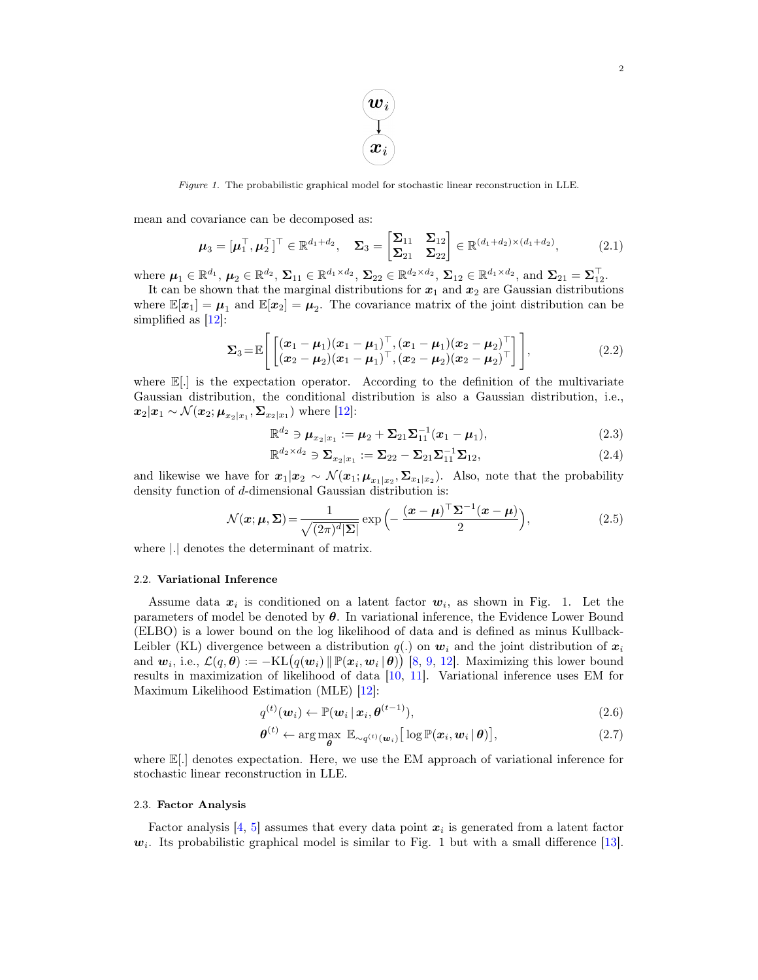

<span id="page-1-0"></span>Figure 1. The probabilistic graphical model for stochastic linear reconstruction in LLE.

mean and covariance can be decomposed as:

$$
\boldsymbol{\mu}_3 = [\boldsymbol{\mu}_1^\top, \boldsymbol{\mu}_2^\top]^\top \in \mathbb{R}^{d_1 + d_2}, \quad \boldsymbol{\Sigma}_3 = \begin{bmatrix} \boldsymbol{\Sigma}_{11} & \boldsymbol{\Sigma}_{12} \\ \boldsymbol{\Sigma}_{21} & \boldsymbol{\Sigma}_{22} \end{bmatrix} \in \mathbb{R}^{(d_1 + d_2) \times (d_1 + d_2)},\tag{2.1}
$$

where  $\boldsymbol{\mu}_1 \in \mathbb{R}^{d_1}$ ,  $\boldsymbol{\mu}_2 \in \mathbb{R}^{d_2}$ ,  $\boldsymbol{\Sigma}_{11} \in \mathbb{R}^{d_1 \times d_2}$ ,  $\boldsymbol{\Sigma}_{22} \in \mathbb{R}^{d_2 \times d_2}$ ,  $\boldsymbol{\Sigma}_{12} \in \mathbb{R}^{d_1 \times d_2}$ , and  $\boldsymbol{\Sigma}_{21} = \boldsymbol{\Sigma}_{12}^\top$ .

It can be shown that the marginal distributions for  $x_1$  and  $x_2$  are Gaussian distributions where  $\mathbb{E}[x_1] = \mu_1$  and  $\mathbb{E}[x_2] = \mu_2$ . The covariance matrix of the joint distribution can be simplified as [\[12\]](#page-5-8):

$$
\Sigma_3 = \mathbb{E}\Bigg[\begin{bmatrix} (x_1 - \mu_1)(x_1 - \mu_1)^\top, (x_1 - \mu_1)(x_2 - \mu_2)^\top \\ (x_2 - \mu_2)(x_1 - \mu_1)^\top, (x_2 - \mu_2)(x_2 - \mu_2)^\top \end{bmatrix}\Bigg],\tag{2.2}
$$

where  $\mathbb{E}[\cdot]$  is the expectation operator. According to the definition of the multivariate Gaussian distribution, the conditional distribution is also a Gaussian distribution, i.e.,  $x_2|x_1 \sim \mathcal{N}(x_2; \boldsymbol{\mu}_{x_2 | x_1}, \boldsymbol{\Sigma}_{x_2 | x_1})$  where [\[12\]](#page-5-8):

<span id="page-1-1"></span>
$$
\mathbb{R}^{d_2} \ni \mu_{x_2|x_1} := \mu_2 + \Sigma_{21} \Sigma_{11}^{-1} (x_1 - \mu_1), \tag{2.3}
$$

<span id="page-1-4"></span><span id="page-1-3"></span><span id="page-1-2"></span>
$$
\mathbb{R}^{d_2 \times d_2} \ni \Sigma_{x_2|x_1} := \Sigma_{22} - \Sigma_{21} \Sigma_{11}^{-1} \Sigma_{12},\tag{2.4}
$$

and likewise we have for  $x_1|x_2 \sim \mathcal{N}(x_1; \mu_{x_1|x_2}, \Sigma_{x_1|x_2})$ . Also, note that the probability density function of d-dimensional Gaussian distribution is:

$$
\mathcal{N}(\boldsymbol{x};\boldsymbol{\mu},\boldsymbol{\Sigma}) = \frac{1}{\sqrt{(2\pi)^d |\boldsymbol{\Sigma}|}} \exp\left(-\frac{(\boldsymbol{x}-\boldsymbol{\mu})^{\top} \boldsymbol{\Sigma}^{-1} (\boldsymbol{x}-\boldsymbol{\mu})}{2}\right),
$$
(2.5)

where |.| denotes the determinant of matrix.

#### 2.2. Variational Inference

Assume data  $x_i$  is conditioned on a latent factor  $w_i$ , as shown in Fig. [1.](#page-1-0) Let the parameters of model be denoted by  $\theta$ . In variational inference, the Evidence Lower Bound (ELBO) is a lower bound on the log likelihood of data and is defined as minus Kullback-Leibler (KL) divergence between a distribution  $q(.)$  on  $w_i$  and the joint distribution of  $x_i$ and  $w_i$ , i.e.,  $\mathcal{L}(q, \theta) := -\text{KL}(q(w_i) \|\mathbb{P}(x_i, w_i | \theta))$  [\[8,](#page-5-6) [9,](#page-5-7) [12\]](#page-5-8). Maximizing this lower bound results in maximization of likelihood of data [\[10,](#page-5-9) [11\]](#page-5-10). Variational inference uses EM for Maximum Likelihood Estimation (MLE) [\[12\]](#page-5-8):

$$
q^{(t)}(\boldsymbol{w}_i) \leftarrow \mathbb{P}(\boldsymbol{w}_i \,|\, \boldsymbol{x}_i, \boldsymbol{\theta}^{(t-1)}),\tag{2.6}
$$

$$
\boldsymbol{\theta}^{(t)} \leftarrow \arg \max_{\boldsymbol{\theta}} \ \mathbb{E}_{\sim q^{(t)}(\boldsymbol{w}_i)} \big[ \log \mathbb{P}(\boldsymbol{x}_i, \boldsymbol{w}_i \, | \, \boldsymbol{\theta}) \big], \tag{2.7}
$$

where  $\mathbb{E}[\cdot]$  denotes expectation. Here, we use the EM approach of variational inference for stochastic linear reconstruction in LLE.

#### 2.3. Factor Analysis

Factor analysis  $[4, 5]$  $[4, 5]$  $[4, 5]$  assumes that every data point  $x_i$  is generated from a latent factor  $w_i$ . Its probabilistic graphical model is similar to Fig. [1](#page-1-0) but with a small difference [\[13\]](#page-5-11).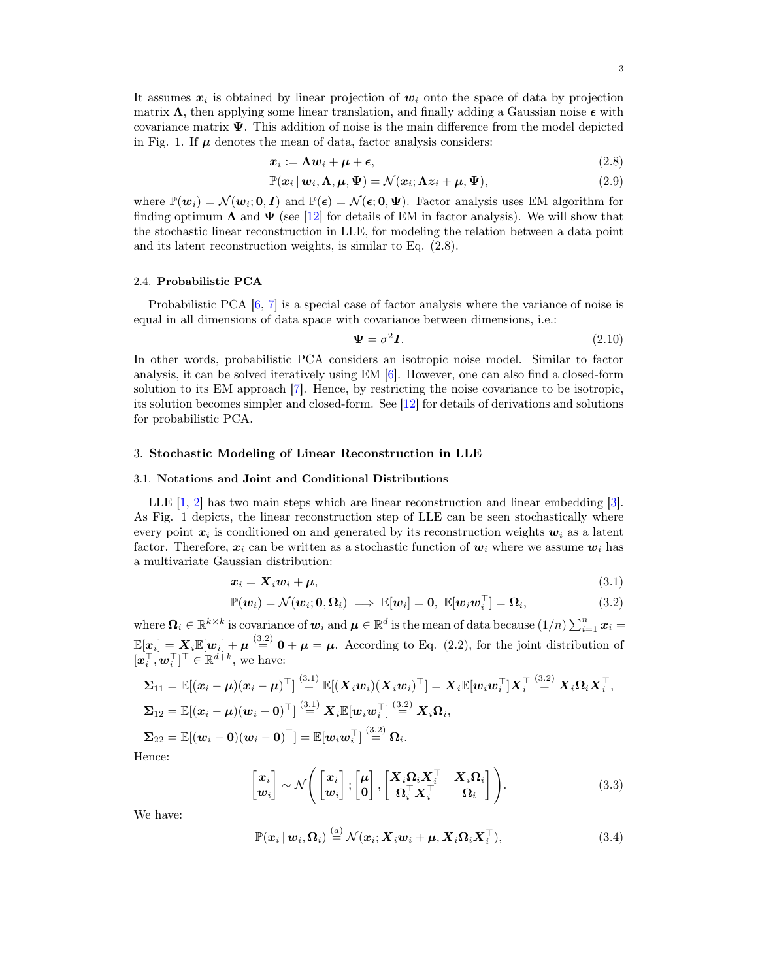It assumes  $x_i$  is obtained by linear projection of  $w_i$  onto the space of data by projection matrix  $\Lambda$ , then applying some linear translation, and finally adding a Gaussian noise  $\epsilon$  with covariance matrix  $\Psi$ . This addition of noise is the main difference from the model depicted in Fig. [1.](#page-1-0) If  $\mu$  denotes the mean of data, factor analysis considers:

$$
x_i := \Lambda w_i + \mu + \epsilon, \tag{2.8}
$$

$$
\mathbb{P}(\boldsymbol{x}_i \,|\, \boldsymbol{w}_i, \boldsymbol{\Lambda}, \boldsymbol{\mu}, \boldsymbol{\Psi}) = \mathcal{N}(\boldsymbol{x}_i; \boldsymbol{\Lambda} \boldsymbol{z}_i + \boldsymbol{\mu}, \boldsymbol{\Psi}), \tag{2.9}
$$

where  $\mathbb{P}(\boldsymbol{w}_i) = \mathcal{N}(\boldsymbol{w}_i; \boldsymbol{0}, \boldsymbol{I})$  and  $\mathbb{P}(\boldsymbol{\epsilon}) = \mathcal{N}(\boldsymbol{\epsilon}; \boldsymbol{0}, \boldsymbol{\Psi})$ . Factor analysis uses EM algorithm for finding optimum  $\Lambda$  and  $\Psi$  (see [\[12\]](#page-5-8) for details of EM in factor analysis). We will show that the stochastic linear reconstruction in LLE, for modeling the relation between a data point and its latent reconstruction weights, is similar to Eq. [\(2.8\)](#page-2-1).

## 2.4. Probabilistic PCA

Probabilistic PCA [\[6,](#page-5-4) [7\]](#page-5-5) is a special case of factor analysis where the variance of noise is equal in all dimensions of data space with covariance between dimensions, i.e.:

<span id="page-2-6"></span><span id="page-2-3"></span><span id="page-2-2"></span><span id="page-2-1"></span>
$$
\Psi = \sigma^2 \mathbf{I}.\tag{2.10}
$$

In other words, probabilistic PCA considers an isotropic noise model. Similar to factor analysis, it can be solved iteratively using  $EM |6|$ . However, one can also find a closed-form solution to its EM approach [\[7\]](#page-5-5). Hence, by restricting the noise covariance to be isotropic, its solution becomes simpler and closed-form. See [\[12\]](#page-5-8) for details of derivations and solutions for probabilistic PCA.

## <span id="page-2-0"></span>3. Stochastic Modeling of Linear Reconstruction in LLE

#### 3.1. Notations and Joint and Conditional Distributions

LLE [\[1,](#page-5-0) [2\]](#page-5-12) has two main steps which are linear reconstruction and linear embedding [\[3\]](#page-5-1). As Fig. [1](#page-1-0) depicts, the linear reconstruction step of LLE can be seen stochastically where every point  $x_i$  is conditioned on and generated by its reconstruction weights  $w_i$  as a latent factor. Therefore,  $x_i$  can be written as a stochastic function of  $w_i$  where we assume  $w_i$  has a multivariate Gaussian distribution:

$$
x_i = X_i w_i + \mu,\tag{3.1}
$$

$$
\mathbb{P}(\boldsymbol{w}_i) = \mathcal{N}(\boldsymbol{w}_i; \mathbf{0}, \boldsymbol{\Omega}_i) \implies \mathbb{E}[\boldsymbol{w}_i] = \mathbf{0}, \ \mathbb{E}[\boldsymbol{w}_i \boldsymbol{w}_i^\top] = \boldsymbol{\Omega}_i,\tag{3.2}
$$

where  $\mathbf{\Omega}_i \in \mathbb{R}^{k \times k}$  is covariance of  $\boldsymbol{w}_i$  and  $\boldsymbol{\mu} \in \mathbb{R}^d$  is the mean of data because  $(1/n)\sum_{i=1}^n \boldsymbol{x}_i =$  $\mathbb{E}[\boldsymbol{x}_i] = \boldsymbol{X}_i \mathbb{E}[\boldsymbol{w}_i] + \boldsymbol{\mu} \stackrel{(3.2)}{=} \boldsymbol{0} + \boldsymbol{\mu} = \boldsymbol{\mu}$  $\mathbb{E}[\boldsymbol{x}_i] = \boldsymbol{X}_i \mathbb{E}[\boldsymbol{w}_i] + \boldsymbol{\mu} \stackrel{(3.2)}{=} \boldsymbol{0} + \boldsymbol{\mu} = \boldsymbol{\mu}$  $\mathbb{E}[\boldsymbol{x}_i] = \boldsymbol{X}_i \mathbb{E}[\boldsymbol{w}_i] + \boldsymbol{\mu} \stackrel{(3.2)}{=} \boldsymbol{0} + \boldsymbol{\mu} = \boldsymbol{\mu}$ . According to Eq. [\(2.2\)](#page-1-1), for the joint distribution of  $[\boldsymbol{x}_i^\top, \boldsymbol{w}_i^\top]^\top \in \mathbb{R}^{d+k}$ , we have:

$$
\Sigma_{11} = \mathbb{E}[(x_i - \mu)(x_i - \mu)^{\top}] \stackrel{(3.1)}{=} \mathbb{E}[(X_i w_i)(X_i w_i)^{\top}] = X_i \mathbb{E}[w_i w_i^{\top}] X_i^{\top} \stackrel{(3.2)}{=} X_i \Omega_i X_i^{\top},
$$
  
\n
$$
\Sigma_{12} = \mathbb{E}[(x_i - \mu)(w_i - 0)^{\top}] \stackrel{(3.1)}{=} X_i \mathbb{E}[w_i w_i^{\top}] \stackrel{(3.2)}{=} X_i \Omega_i,
$$
  
\n
$$
\Sigma_{22} = \mathbb{E}[(w_i - 0)(w_i - 0)^{\top}] = \mathbb{E}[w_i w_i^{\top}] \stackrel{(3.2)}{=} \Omega_i.
$$
  
\n[once:

Hence:

<span id="page-2-4"></span>
$$
\begin{bmatrix} x_i \\ w_i \end{bmatrix} \sim \mathcal{N} \Bigg( \begin{bmatrix} x_i \\ w_i \end{bmatrix}; \begin{bmatrix} \boldsymbol{\mu} \\ \mathbf{0} \end{bmatrix}, \begin{bmatrix} \boldsymbol{X}_i \boldsymbol{\Omega}_i \boldsymbol{X}_i^\top & \boldsymbol{X}_i \boldsymbol{\Omega}_i \\ \boldsymbol{\Omega}_i^\top \boldsymbol{X}_i^\top & \boldsymbol{\Omega}_i \end{bmatrix} \Bigg). \tag{3.3}
$$

We have:

<span id="page-2-5"></span>
$$
\mathbb{P}(\boldsymbol{x}_i \,|\, \boldsymbol{w}_i, \boldsymbol{\Omega}_i) \stackrel{(a)}{=} \mathcal{N}(\boldsymbol{x}_i; \boldsymbol{X}_i \boldsymbol{w}_i + \boldsymbol{\mu}, \boldsymbol{X}_i \boldsymbol{\Omega}_i \boldsymbol{X}_i^\top), \tag{3.4}
$$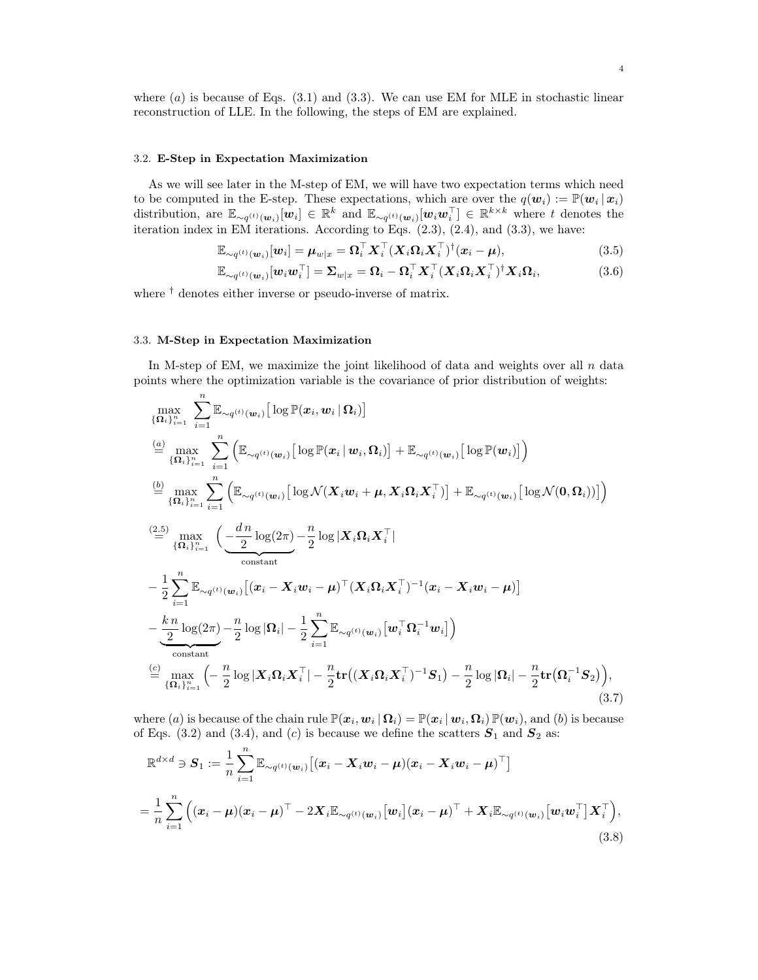where  $(a)$  is because of Eqs. [\(3.1\)](#page-2-3) and [\(3.3\)](#page-2-4). We can use EM for MLE in stochastic linear reconstruction of LLE. In the following, the steps of EM are explained.

#### 3.2. E-Step in Expectation Maximization

As we will see later in the M-step of EM, we will have two expectation terms which need to be computed in the E-step. These expectations, which are over the  $q(\mathbf{w}_i) := \mathbb{P}(\mathbf{w}_i | \mathbf{x}_i)$ distribution, are  $\mathbb{E}_{\sim q^{(t)}(\boldsymbol{w}_i)}[\boldsymbol{w}_i] \in \mathbb{R}^k$  and  $\mathbb{E}_{\sim q^{(t)}(\boldsymbol{w}_i)}[\boldsymbol{w}_i \boldsymbol{w}_i^{\top}] \in \mathbb{R}^{k \times k}$  where t denotes the iteration index in EM iterations. According to Eqs. [\(2.3\)](#page-1-2), [\(2.4\)](#page-1-3), and [\(3.3\)](#page-2-4), we have:

<span id="page-3-0"></span>
$$
\mathbb{E}_{\sim q^{(t)}(\boldsymbol{w}_i)}[\boldsymbol{w}_i] = \boldsymbol{\mu}_{\boldsymbol{w}|x} = \boldsymbol{\Omega}_i^\top \boldsymbol{X}_i^\top (\boldsymbol{X}_i \boldsymbol{\Omega}_i \boldsymbol{X}_i^\top)^\dagger (\boldsymbol{x}_i - \boldsymbol{\mu}),
$$
\n(3.5)

<span id="page-3-1"></span>
$$
\mathbb{E}_{\sim q^{(t)}(\boldsymbol{w}_i)}[\boldsymbol{w}_i\boldsymbol{w}_i^\top] = \boldsymbol{\Sigma}_{\boldsymbol{w}|\boldsymbol{x}} = \boldsymbol{\Omega}_i - \boldsymbol{\Omega}_i^\top \boldsymbol{X}_i^\top (\boldsymbol{X}_i \boldsymbol{\Omega}_i \boldsymbol{X}_i^\top)^\dagger \boldsymbol{X}_i \boldsymbol{\Omega}_i, \tag{3.6}
$$

where <sup>†</sup> denotes either inverse or pseudo-inverse of matrix.

# 3.3. M-Step in Expectation Maximization

In M-step of EM, we maximize the joint likelihood of data and weights over all  $n$  data points where the optimization variable is the covariance of prior distribution of weights:

$$
\max_{\{\Omega_i\}_{i=1}^n} \sum_{i=1}^n \mathbb{E}_{\sim q^{(t)}(\boldsymbol{w}_i)} \left[ \log \mathbb{P}(\boldsymbol{x}_i, \boldsymbol{w}_i | \Omega_i) \right]
$$
\n
$$
\stackrel{(a)}{=} \max_{\{\Omega_i\}_{i=1}^n} \sum_{i=1}^n \left( \mathbb{E}_{\sim q^{(t)}(\boldsymbol{w}_i)} \left[ \log \mathbb{P}(\boldsymbol{x}_i | \boldsymbol{w}_i, \Omega_i) \right] + \mathbb{E}_{\sim q^{(t)}(\boldsymbol{w}_i)} \left[ \log \mathbb{P}(\boldsymbol{w}_i) \right] \right)
$$
\n
$$
\stackrel{(b)}{=} \max_{\{\Omega_i\}_{i=1}^n} \sum_{i=1}^n \left( \mathbb{E}_{\sim q^{(t)}(\boldsymbol{w}_i)} \left[ \log \mathcal{N}(\boldsymbol{X}_i \boldsymbol{w}_i + \boldsymbol{\mu}, \boldsymbol{X}_i \Omega_i \boldsymbol{X}_i^\top) \right] + \mathbb{E}_{\sim q^{(t)}(\boldsymbol{w}_i)} \left[ \log \mathcal{N}(\mathbf{0}, \Omega_i) \right] \right)
$$
\n
$$
\stackrel{(2.5)}{=} \max_{\{\Omega_i\}_{i=1}^n} \left( \underbrace{-\frac{d}{2} \log(2\pi)}_{\text{constant}} - \frac{n}{2} \log |\boldsymbol{X}_i \Omega_i \boldsymbol{X}_i^\top| \right]
$$
\n
$$
- \frac{1}{2} \sum_{i=1}^n \mathbb{E}_{\sim q^{(t)}(\boldsymbol{w}_i)} \left[ (\boldsymbol{x}_i - \boldsymbol{X}_i \boldsymbol{w}_i - \boldsymbol{\mu})^\top (\boldsymbol{X}_i \Omega_i \boldsymbol{X}_i^\top)^{-1} (\boldsymbol{x}_i - \boldsymbol{X}_i \boldsymbol{w}_i - \boldsymbol{\mu}) \right]
$$
\n
$$
- \underbrace{\frac{k}{2} \log(2\pi)}_{\text{constant}} - \frac{n}{2} \log |\Omega_i| - \frac{1}{2} \sum_{i=1}^n \mathbb{E}_{\sim q^{(t)}(\boldsymbol{w}_i)} \left[ \boldsymbol{w}_i^\top \Omega_i^{-1} \boldsymbol{w}_i \right] \right)
$$
\n
$$
\stackrel{(c)}{=} \max_{\{\Omega_i\}_{i
$$

where (a) is because of the chain rule  $\mathbb{P}(\bm{x}_i, \bm{w}_i | \bm{\Omega}_i) = \mathbb{P}(\bm{x}_i | \bm{w}_i, \bm{\Omega}_i) \mathbb{P}(\bm{w}_i)$ , and (b) is because of Eqs. [\(3.2\)](#page-2-2) and [\(3.4\)](#page-2-5), and (c) is because we define the scatters  $S_1$  and  $S_2$  as:

<span id="page-3-3"></span><span id="page-3-2"></span>
$$
\mathbb{R}^{d \times d} \ni \mathbf{S}_1 := \frac{1}{n} \sum_{i=1}^n \mathbb{E}_{\sim q^{(t)}(\mathbf{w}_i)} \left[ (\mathbf{x}_i - \mathbf{X}_i \mathbf{w}_i - \boldsymbol{\mu}) (\mathbf{x}_i - \mathbf{X}_i \mathbf{w}_i - \boldsymbol{\mu})^\top \right]
$$
\n
$$
= \frac{1}{n} \sum_{i=1}^n \left( (\mathbf{x}_i - \boldsymbol{\mu}) (\mathbf{x}_i - \boldsymbol{\mu})^\top - 2 \mathbf{X}_i \mathbb{E}_{\sim q^{(t)}(\mathbf{w}_i)} \left[ \mathbf{w}_i \right] (\mathbf{x}_i - \boldsymbol{\mu})^\top + \mathbf{X}_i \mathbb{E}_{\sim q^{(t)}(\mathbf{w}_i)} \left[ \mathbf{w}_i \mathbf{w}_i^\top \right] \mathbf{X}_i^\top \right),
$$
\n(3.8)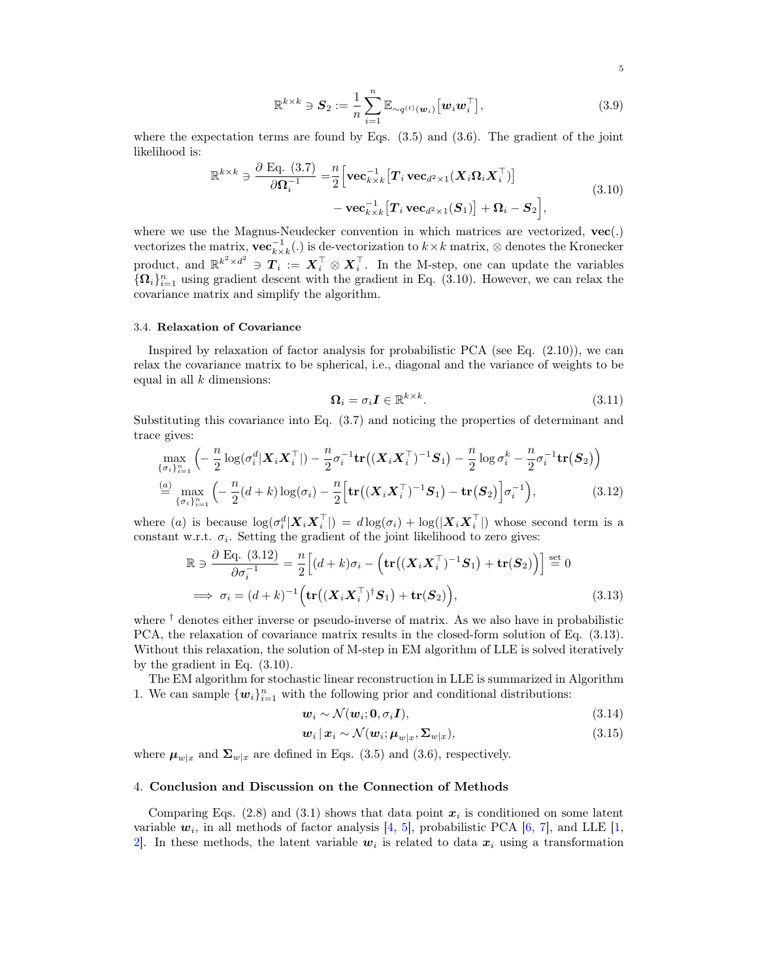<span id="page-4-5"></span>
$$
\mathbb{R}^{k \times k} \ni \mathbf{S}_2 := \frac{1}{n} \sum_{i=1}^n \mathbb{E}_{\sim q^{(t)}(\mathbf{w}_i)} \big[ \mathbf{w}_i \mathbf{w}_i^\top \big],\tag{3.9}
$$

where the expectation terms are found by Eqs.  $(3.5)$  and  $(3.6)$ . The gradient of the joint likelihood is:

<span id="page-4-1"></span>
$$
\mathbb{R}^{k \times k} \ni \frac{\partial \operatorname{Eq.} (3.7)}{\partial \Omega_i^{-1}} = \frac{n}{2} \Big[ \mathbf{vec}_{k \times k}^{-1} \big[ T_i \mathbf{vec}_{d^2 \times 1} (X_i \Omega_i X_i^{\top}) \big] - \mathbf{vec}_{k \times k}^{-1} \big[ T_i \mathbf{vec}_{d^2 \times 1} (S_1) \big] + \Omega_i - S_2 \Big], \tag{3.10}
$$

where we use the Magnus-Neudecker convention in which matrices are vectorized,  $vec(.)$ vectorizes the matrix,  $\mathbf{vec}_{k\times k}^{-1}(.)$  is de-vectorization to  $k\times k$  matrix, ⊗ denotes the Kronecker product, and  $\mathbb{R}^{k^2 \times d^2} \ni T_i := X_i^{\top} \otimes X_i^{\top}$ . In the M-step, one can update the variables  $\{\mathbf\Omega_i\}_{i=1}^n$  using gradient descent with the gradient in Eq. [\(3.10\)](#page-4-1). However, we can relax the covariance matrix and simplify the algorithm.

# 3.4. Relaxation of Covariance

Inspired by relaxation of factor analysis for probabilistic PCA (see Eq.  $(2.10)$ ), we can relax the covariance matrix to be spherical, i.e., diagonal and the variance of weights to be equal in all  $k$  dimensions:

<span id="page-4-6"></span><span id="page-4-2"></span>
$$
\Omega_i = \sigma_i \mathbf{I} \in \mathbb{R}^{k \times k}.\tag{3.11}
$$

Substituting this covariance into Eq. [\(3.7\)](#page-3-2) and noticing the properties of determinant and trace gives:

$$
\max_{\{\sigma_i\}_{i=1}^n} \left( -\frac{n}{2} \log(\sigma_i^d | \mathbf{X}_i \mathbf{X}_i^\top|) - \frac{n}{2} \sigma_i^{-1} \mathbf{tr} \left( (\mathbf{X}_i \mathbf{X}_i^\top)^{-1} \mathbf{S}_1 \right) - \frac{n}{2} \log \sigma_i^k - \frac{n}{2} \sigma_i^{-1} \mathbf{tr} \left( \mathbf{S}_2 \right) \right)
$$
\n
$$
\stackrel{(a)}{=} \max_{\{\sigma_i\}_{i=1}^n} \left( -\frac{n}{2} (d+k) \log(\sigma_i) - \frac{n}{2} \left[ \mathbf{tr} \left( (\mathbf{X}_i \mathbf{X}_i^\top)^{-1} \mathbf{S}_1 \right) - \mathbf{tr} \left( \mathbf{S}_2 \right) \right] \sigma_i^{-1} \right),\tag{3.12}
$$

where (a) is because  $\log(\sigma_i^d | X_i X_i^{\top}|) = d \log(\sigma_i) + \log(|X_i X_i^{\top}|)$  whose second term is a constant w.r.t.  $\sigma_i$ . Setting the gradient of the joint likelihood to zero gives:

$$
\mathbb{R} \ni \frac{\partial \operatorname{Eq.} (3.12)}{\partial \sigma_i^{-1}} = \frac{n}{2} \Big[ (d+k)\sigma_i - \Big( \operatorname{tr} \big( (\boldsymbol{X}_i \boldsymbol{X}_i^\top )^{-1} \boldsymbol{S}_1 \big) + \operatorname{tr} (\boldsymbol{S}_2) \Big) \Big] \stackrel{\text{set}}{=} 0
$$
  
\n
$$
\implies \sigma_i = (d+k)^{-1} \Big( \operatorname{tr} \big( (\boldsymbol{X}_i \boldsymbol{X}_i^\top )^\dagger \boldsymbol{S}_1 \big) + \operatorname{tr} (\boldsymbol{S}_2) \Big), \tag{3.13}
$$

where  $\dagger$  denotes either inverse or pseudo-inverse of matrix. As we also have in probabilistic PCA, the relaxation of covariance matrix results in the closed-form solution of Eq. [\(3.13\)](#page-4-3). Without this relaxation, the solution of M-step in EM algorithm of LLE is solved iteratively by the gradient in Eq. [\(3.10\)](#page-4-1).

The EM algorithm for stochastic linear reconstruction in LLE is summarized in Algorithm [1.](#page-5-13) We can sample  $\{w_i\}_{i=1}^n$  with the following prior and conditional distributions:

<span id="page-4-4"></span><span id="page-4-3"></span>
$$
\boldsymbol{w}_i \sim \mathcal{N}(\boldsymbol{w}_i; \boldsymbol{0}, \sigma_i \boldsymbol{I}),\tag{3.14}
$$

$$
\boldsymbol{w}_i \, | \, \boldsymbol{x}_i \sim \mathcal{N}(\boldsymbol{w}_i; \boldsymbol{\mu}_{w|x}, \boldsymbol{\Sigma}_{w|x}), \tag{3.15}
$$

where  $\mu_{w|x}$  and  $\Sigma_{w|x}$  are defined in Eqs. [\(3.5\)](#page-3-0) and [\(3.6\)](#page-3-1), respectively.

#### <span id="page-4-0"></span>4. Conclusion and Discussion on the Connection of Methods

Comparing Eqs.  $(2.8)$  and  $(3.1)$  shows that data point  $x_i$  is conditioned on some latent variable  $w_i$ , in all methods of factor analysis [\[4,](#page-5-2) [5\]](#page-5-3), probabilistic PCA [\[6,](#page-5-4) [7\]](#page-5-5), and LLE [\[1,](#page-5-0) 2. In these methods, the latent variable  $w_i$  is related to data  $x_i$  using a transformation